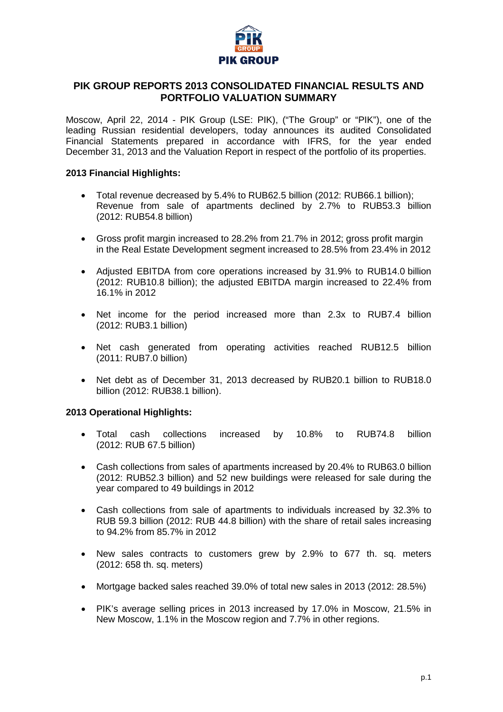

## **PIK GROUP REPORTS 2013 CONSOLIDATED FINANCIAL RESULTS AND PORTFOLIO VALUATION SUMMARY**

Moscow, April 22, 2014 - PIK Group (LSE: PIK), ("The Group" or "PIK"), one of the leading Russian residential developers, today announces its audited Consolidated Financial Statements prepared in accordance with IFRS, for the year ended December 31, 2013 and the Valuation Report in respect of the portfolio of its properties.

### **2013 Financial Highlights:**

- Total revenue decreased by 5.4% to RUB62.5 billion (2012: RUB66.1 billion); Revenue from sale of apartments declined by 2.7% to RUB53.3 billion (2012: RUB54.8 billion)
- Gross profit margin increased to 28.2% from 21.7% in 2012; gross profit margin in the Real Estate Development segment increased to 28.5% from 23.4% in 2012
- Adjusted EBITDA from core operations increased by 31.9% to RUB14.0 billion (2012: RUB10.8 billion); the adjusted EBITDA margin increased to 22.4% from 16.1% in 2012
- Net income for the period increased more than 2.3x to RUB7.4 billion (2012: RUB3.1 billion)
- Net cash generated from operating activities reached RUB12.5 billion (2011: RUB7.0 billion)
- Net debt as of December 31, 2013 decreased by RUB20.1 billion to RUB18.0 billion (2012: RUB38.1 billion).

## **2013 Operational Highlights:**

- Total cash collections increased by 10.8% to RUB74.8 billion (2012: RUB 67.5 billion)
- Cash collections from sales of apartments increased by 20.4% to RUB63.0 billion (2012: RUB52.3 billion) and 52 new buildings were released for sale during the year compared to 49 buildings in 2012
- Cash collections from sale of apartments to individuals increased by 32.3% to RUB 59.3 billion (2012: RUB 44.8 billion) with the share of retail sales increasing to 94.2% from 85.7% in 2012
- New sales contracts to customers grew by 2.9% to 677 th. sq. meters (2012: 658 th. sq. meters)
- Mortgage backed sales reached 39.0% of total new sales in 2013 (2012: 28.5%)
- PIK's average selling prices in 2013 increased by 17.0% in Moscow, 21.5% in New Moscow, 1.1% in the Moscow region and 7.7% in other regions.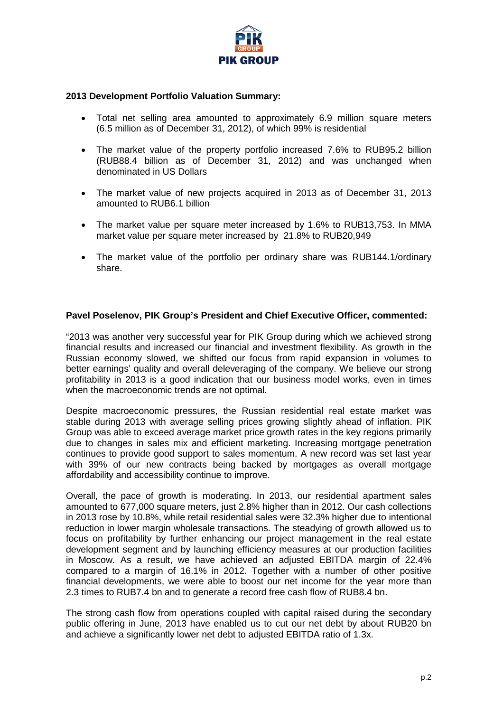

## **2013 Development Portfolio Valuation Summary:**

- Total net selling area amounted to approximately 6.9 million square meters (6.5 million as of December 31, 2012), of which 99% is residential
- The market value of the property portfolio increased 7.6% to RUB95.2 billion (RUB88.4 billion as of December 31, 2012) and was unchanged when denominated in US Dollars
- The market value of new projects acquired in 2013 as of December 31, 2013 amounted to RUB6.1 billion
- The market value per square meter increased by 1.6% to RUB13,753. In MMA market value per square meter increased by 21.8% to RUB20,949
- The market value of the portfolio per ordinary share was RUB144.1/ordinary share.

## **Pavel Poselenov, PIK Group's President and Chief Executive Officer, commented:**

"2013 was another very successful year for PIK Group during which we achieved strong financial results and increased our financial and investment flexibility. As growth in the Russian economy slowed, we shifted our focus from rapid expansion in volumes to better earnings' quality and overall deleveraging of the company. We believe our strong profitability in 2013 is a good indication that our business model works, even in times when the macroeconomic trends are not optimal.

Despite macroeconomic pressures, the Russian residential real estate market was stable during 2013 with average selling prices growing slightly ahead of inflation. PIK Group was able to exceed average market price growth rates in the key regions primarily due to changes in sales mix and efficient marketing. Increasing mortgage penetration continues to provide good support to sales momentum. A new record was set last year with 39% of our new contracts being backed by mortgages as overall mortgage affordability and accessibility continue to improve.

Overall, the pace of growth is moderating. In 2013, our residential apartment sales amounted to 677,000 square meters, just 2.8% higher than in 2012. Our cash collections in 2013 rose by 10.8%, while retail residential sales were 32.3% higher due to intentional reduction in lower margin wholesale transactions. The steadying of growth allowed us to focus on profitability by further enhancing our project management in the real estate development segment and by launching efficiency measures at our production facilities in Moscow. As a result, we have achieved an adjusted EBITDA margin of 22.4% compared to a margin of 16.1% in 2012. Together with a number of other positive financial developments, we were able to boost our net income for the year more than 2.3 times to RUB7.4 bn and to generate a record free cash flow of RUB8.4 bn.

The strong cash flow from operations coupled with capital raised during the secondary public offering in June, 2013 have enabled us to cut our net debt by about RUB20 bn and achieve a significantly lower net debt to adjusted EBITDA ratio of 1.3x.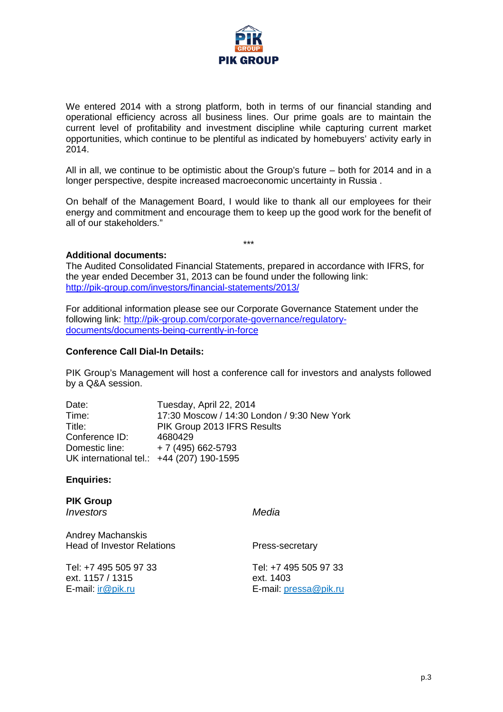

We entered 2014 with a strong platform, both in terms of our financial standing and operational efficiency across all business lines. Our prime goals are to maintain the current level of profitability and investment discipline while capturing current market opportunities, which continue to be plentiful as indicated by homebuyers' activity early in 2014.

All in all, we continue to be optimistic about the Group's future – both for 2014 and in a longer perspective, despite increased macroeconomic uncertainty in Russia .

On behalf of the Management Board, I would like to thank all our employees for their energy and commitment and encourage them to keep up the good work for the benefit of all of our stakeholders."

\*\*\*

**Additional documents:**

The Audited Consolidated Financial Statements, prepared in accordance with IFRS, for the year ended December 31, 2013 can be found under the following link: <http://pik-group.com/investors/financial-statements/2013/>

For additional information please see our Corporate Governance Statement under the following link: http://pik-group.com/corporate-governance/regulatorydocuments/documents-being-currently-in-force

## **Conference Call Dial-In Details:**

PIK Group's Management will host a conference call for investors and analysts followed by a Q&A session.

| Date:                                     | Tuesday, April 22, 2014                     |
|-------------------------------------------|---------------------------------------------|
| Time:                                     | 17:30 Moscow / 14:30 London / 9:30 New York |
| Title:                                    | PIK Group 2013 IFRS Results                 |
| Conference ID:                            | 4680429                                     |
| Domestic line:                            | $+7(495)662-5793$                           |
| UK international tel.: +44 (207) 190-1595 |                                             |

**Enquiries:**

**PIK Group**  *Investors Media*

Andrey Machanskis Head of Investor Relations **Press-secretary** 

Tel: +7 495 505 97 33 ext. 1157 / 1315 E-mail: ir@pik.ru E-mail: [pressa@pik.ru](mailto:pressa@pik.ru)

Tel: +7 495 505 97 33 ext. 1403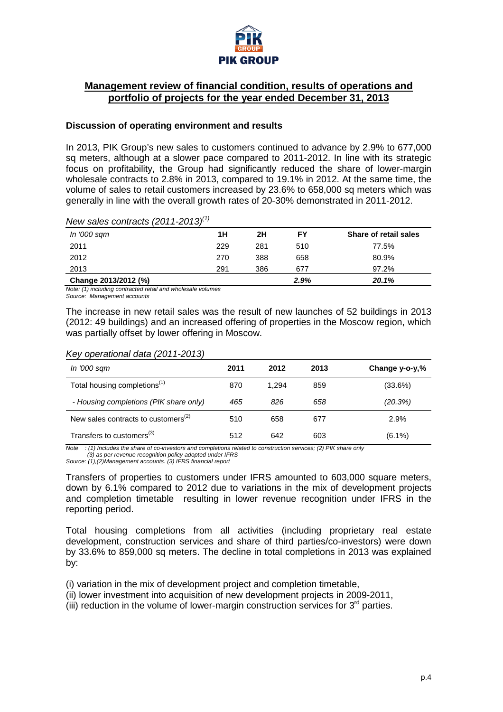

## **Management review of financial condition, results of operations and portfolio of projects for the year ended December 31, 2013**

### **Discussion of operating environment and results**

In 2013, PIK Group's new sales to customers continued to advance by 2.9% to 677,000 sq meters, although at a slower pace compared to 2011-2012. In line with its strategic focus on profitability, the Group had significantly reduced the share of lower-margin wholesale contracts to 2.8% in 2013, compared to 19.1% in 2012. At the same time, the volume of sales to retail customers increased by 23.6% to 658,000 sq meters which was generally in line with the overall growth rates of 20-30% demonstrated in 2011-2012.

## *New sales contracts (2011-2013)(1)*

| In '000 sam          | 1Н  | 2Η  | FΥ   | Share of retail sales |
|----------------------|-----|-----|------|-----------------------|
| 2011                 | 229 | 281 | 510  | 77.5%                 |
| 2012                 | 270 | 388 | 658  | 80.9%                 |
| 2013                 | 291 | 386 | 677  | 97.2%                 |
| Change 2013/2012 (%) |     |     | 2.9% | 20.1%                 |

*Note: (1) including contracted retail and wholesale volumes*

*Source: Management accounts*

The increase in new retail sales was the result of new launches of 52 buildings in 2013 (2012: 49 buildings) and an increased offering of properties in the Moscow region, which was partially offset by lower offering in Moscow.

### *Key operational data (2011-2013)*

| In '000 sam                                     | 2011 | 2012  | 2013 | Change $y$ -o- $y$ ,% |
|-------------------------------------------------|------|-------|------|-----------------------|
| Total housing completions <sup>(1)</sup>        | 870  | 1.294 | 859  | (33.6%)               |
| - Housing completions (PIK share only)          | 465  | 826   | 658  | (20.3%)               |
| New sales contracts to customers <sup>(2)</sup> | 510  | 658   | 677  | 2.9%                  |
| Transfers to customers <sup>(3)</sup>           | 512  | 642   | 603  | $(6.1\%)$             |

*Note : (1) Includes the share of co-investors and completions related to construction services; (2) PIK share only (3) as per revenue recognition policy adopted under IFRS*

*Source: (1),(2)Management accounts. (3) IFRS financial report* 

Transfers of properties to customers under IFRS amounted to 603,000 square meters, down by 6.1% compared to 2012 due to variations in the mix of development projects and completion timetable resulting in lower revenue recognition under IFRS in the reporting period.

Total housing completions from all activities (including proprietary real estate development, construction services and share of third parties/co-investors) were down by 33.6% to 859,000 sq meters. The decline in total completions in 2013 was explained by:

(i) variation in the mix of development project and completion timetable,

(ii) lower investment into acquisition of new development projects in 2009-2011,

(iii) reduction in the volume of lower-margin construction services for  $3<sup>rd</sup>$  parties.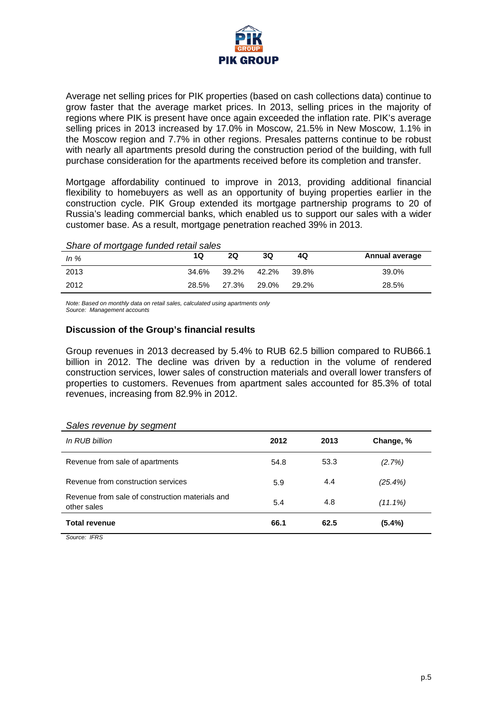

Average net selling prices for PIK properties (based on cash collections data) continue to grow faster that the average market prices. In 2013, selling prices in the majority of regions where PIK is present have once again exceeded the inflation rate. PIK's average selling prices in 2013 increased by 17.0% in Moscow, 21.5% in New Moscow, 1.1% in the Moscow region and 7.7% in other regions. Presales patterns continue to be robust with nearly all apartments presold during the construction period of the building, with full purchase consideration for the apartments received before its completion and transfer.

Mortgage affordability continued to improve in 2013, providing additional financial flexibility to homebuyers as well as an opportunity of buying properties earlier in the construction cycle. PIK Group extended its mortgage partnership programs to 20 of Russia's leading commercial banks, which enabled us to support our sales with a wider customer base. As a result, mortgage penetration reached 39% in 2013.

#### *Share of mortgage funded retail sales*

| In $%$ | 10    | <b>2Q</b> | 3Q    | 4Q    | Annual average |
|--------|-------|-----------|-------|-------|----------------|
| 2013   | 34.6% | 39.2%     | 42.2% | 39.8% | 39.0%          |
| 2012   | 28.5% | 27.3%     | 29.0% | 29.2% | 28.5%          |

*Note: Based on monthly data on retail sales, calculated using apartments only*

*Source: Management accounts*

## **Discussion of the Group's financial results**

Group revenues in 2013 decreased by 5.4% to RUB 62.5 billion compared to RUB66.1 billion in 2012. The decline was driven by a reduction in the volume of rendered construction services, lower sales of construction materials and overall lower transfers of properties to customers. Revenues from apartment sales accounted for 85.3% of total revenues, increasing from 82.9% in 2012.

#### *Sales revenue by segment*

| In RUB billion                                                 | 2012 | 2013 | Change, %  |
|----------------------------------------------------------------|------|------|------------|
| Revenue from sale of apartments                                | 54.8 | 53.3 | (2.7%)     |
| Revenue from construction services                             | 5.9  | 4.4  | $(25.4\%)$ |
| Revenue from sale of construction materials and<br>other sales | 5.4  | 4.8  | $(11.1\%)$ |
| <b>Total revenue</b>                                           | 66.1 | 62.5 | $(5.4\%)$  |

*Source: IFRS*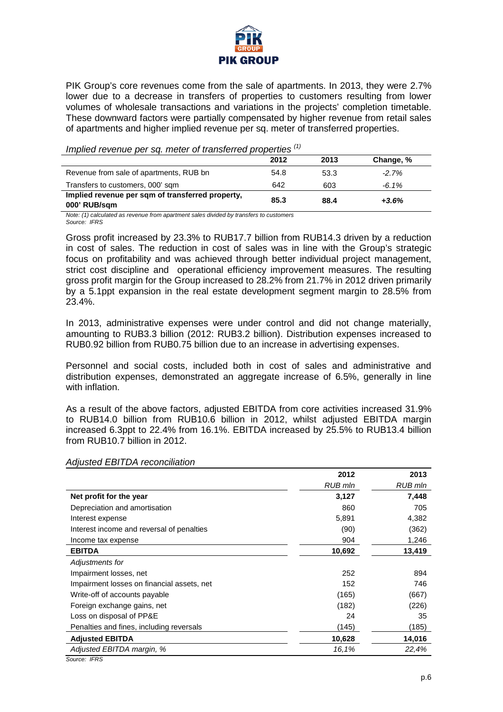

PIK Group's core revenues come from the sale of apartments. In 2013, they were 2.7% lower due to a decrease in transfers of properties to customers resulting from lower volumes of wholesale transactions and variations in the projects' completion timetable. These downward factors were partially compensated by higher revenue from retail sales of apartments and higher implied revenue per sq. meter of transferred properties.

*Implied revenue per sq. meter of transferred properties (1)*

|                                                                  | 2012 | 2013 | Change, % |  |
|------------------------------------------------------------------|------|------|-----------|--|
| Revenue from sale of apartments, RUB bn                          | 54.8 | 53.3 | $-2.7%$   |  |
| Transfers to customers, 000' sqm                                 | 642  | 603  | $-6.1\%$  |  |
| Implied revenue per sqm of transferred property.<br>000' RUB/sqm | 85.3 | 88.4 | $+3.6%$   |  |

*Note: (1) calculated as revenue from apartment sales divided by transfers to customers Source: IFRS* 

Gross profit increased by 23.3% to RUB17.7 billion from RUB14.3 driven by a reduction in cost of sales. The reduction in cost of sales was in line with the Group's strategic focus on profitability and was achieved through better individual project management, strict cost discipline and operational efficiency improvement measures. The resulting gross profit margin for the Group increased to 28.2% from 21.7% in 2012 driven primarily by a 5.1ppt expansion in the real estate development segment margin to 28.5% from 23.4%.

In 2013, administrative expenses were under control and did not change materially, amounting to RUB3.3 billion (2012: RUB3.2 billion). Distribution expenses increased to RUB0.92 billion from RUB0.75 billion due to an increase in advertising expenses.

Personnel and social costs, included both in cost of sales and administrative and distribution expenses, demonstrated an aggregate increase of 6.5%, generally in line with inflation.

As a result of the above factors, adjusted EBITDA from core activities increased 31.9% to RUB14.0 billion from RUB10.6 billion in 2012, whilst adjusted EBITDA margin increased 6.3ppt to 22.4% from 16.1%. EBITDA increased by 25.5% to RUB13.4 billion from RUB10.7 billion in 2012.

| Adjusted EBITDA reconciliation |  |
|--------------------------------|--|
|                                |  |

|                                            | 2012           | 2013           |
|--------------------------------------------|----------------|----------------|
|                                            | <b>RUB</b> mln | <b>RUB</b> mln |
| Net profit for the year                    | 3,127          | 7,448          |
| Depreciation and amortisation              | 860            | 705            |
| Interest expense                           | 5,891          | 4,382          |
| Interest income and reversal of penalties  | (90)           | (362)          |
| Income tax expense                         | 904            | 1,246          |
| <b>EBITDA</b>                              | 10,692         | 13,419         |
| Adjustments for                            |                |                |
| Impairment losses, net                     | 252            | 894            |
| Impairment losses on financial assets, net | 152            | 746            |
| Write-off of accounts payable              | (165)          | (667)          |
| Foreign exchange gains, net                | (182)          | (226)          |
| Loss on disposal of PP&E                   | 24             | 35             |
| Penalties and fines, including reversals   | (145)          | (185)          |
| <b>Adjusted EBITDA</b>                     | 10,628         | 14,016         |
| Adjusted EBITDA margin, %                  | 16,1%          | 22,4%          |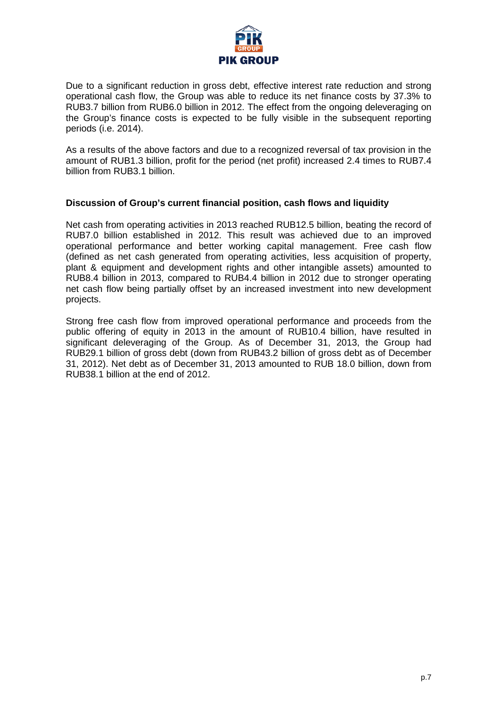

Due to a significant reduction in gross debt, effective interest rate reduction and strong operational cash flow, the Group was able to reduce its net finance costs by 37.3% to RUB3.7 billion from RUB6.0 billion in 2012. The effect from the ongoing deleveraging on the Group's finance costs is expected to be fully visible in the subsequent reporting periods (i.e. 2014).

As a results of the above factors and due to a recognized reversal of tax provision in the amount of RUB1.3 billion, profit for the period (net profit) increased 2.4 times to RUB7.4 billion from RUB3.1 billion.

## **Discussion of Group's current financial position, cash flows and liquidity**

Net cash from operating activities in 2013 reached RUB12.5 billion, beating the record of RUB7.0 billion established in 2012. This result was achieved due to an improved operational performance and better working capital management. Free cash flow (defined as net cash generated from operating activities, less acquisition of property, plant & equipment and development rights and other intangible assets) amounted to RUB8.4 billion in 2013, compared to RUB4.4 billion in 2012 due to stronger operating net cash flow being partially offset by an increased investment into new development projects.

Strong free cash flow from improved operational performance and proceeds from the public offering of equity in 2013 in the amount of RUB10.4 billion, have resulted in significant deleveraging of the Group. As of December 31, 2013, the Group had RUB29.1 billion of gross debt (down from RUB43.2 billion of gross debt as of December 31, 2012). Net debt as of December 31, 2013 amounted to RUB 18.0 billion, down from RUB38.1 billion at the end of 2012.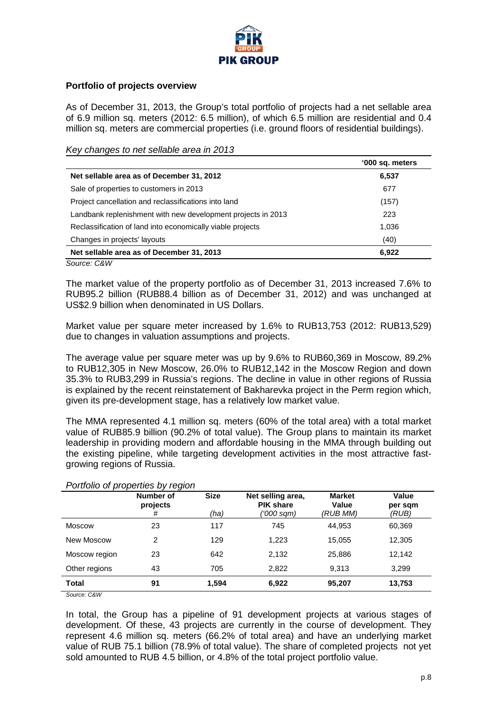

## **Portfolio of projects overview**

As of December 31, 2013, the Group's total portfolio of projects had a net sellable area of 6.9 million sq. meters (2012: 6.5 million), of which 6.5 million are residential and 0.4 million sq. meters are commercial properties (i.e. ground floors of residential buildings).

### *Key changes to net sellable area in 2013*

|                                                              | '000 sq. meters |
|--------------------------------------------------------------|-----------------|
| Net sellable area as of December 31, 2012                    | 6,537           |
| Sale of properties to customers in 2013                      | 677             |
| Project cancellation and reclassifications into land         | (157)           |
| Landbank replenishment with new development projects in 2013 | 223             |
| Reclassification of land into economically viable projects   | 1,036           |
| Changes in projects' layouts                                 | (40)            |
| Net sellable area as of December 31, 2013                    | 6,922           |

*Source: C&W*

The market value of the property portfolio as of December 31, 2013 increased 7.6% to RUB95.2 billion (RUB88.4 billion as of December 31, 2012) and was unchanged at US\$2.9 billion when denominated in US Dollars.

Market value per square meter increased by 1.6% to RUB13,753 (2012: RUB13,529) due to changes in valuation assumptions and projects.

The average value per square meter was up by 9.6% to RUB60,369 in Moscow, 89.2% to RUB12,305 in New Moscow, 26.0% to RUB12,142 in the Moscow Region and down 35.3% to RUB3,299 in Russia's regions. The decline in value in other regions of Russia is explained by the recent reinstatement of Bakharevka project in the Perm region which, given its pre-development stage, has a relatively low market value.

The MMA represented 4.1 million sq. meters (60% of the total area) with a total market value of RUB85.9 billion (90.2% of total value). The Group plans to maintain its market leadership in providing modern and affordable housing in the MMA through building out the existing pipeline, while targeting development activities in the most attractive fastgrowing regions of Russia.

|               | Number of<br>projects<br># | <b>Size</b><br>(ha) | Net selling area,<br><b>PIK share</b><br>('000 sqm) | <b>Market</b><br>Value<br>(RUB MM) | Value<br>per sqm<br>(RUB) |
|---------------|----------------------------|---------------------|-----------------------------------------------------|------------------------------------|---------------------------|
| <b>Moscow</b> | 23                         | 117                 | 745                                                 | 44.953                             | 60,369                    |
| New Moscow    | 2                          | 129                 | 1.223                                               | 15,055                             | 12,305                    |
| Moscow region | 23                         | 642                 | 2.132                                               | 25.886                             | 12,142                    |
| Other regions | 43                         | 705                 | 2,822                                               | 9.313                              | 3,299                     |
| <b>Total</b>  | 91                         | 1.594               | 6,922                                               | 95,207                             | 13,753                    |

## *Portfolio of properties by region*

*Source: C&W*

In total, the Group has a pipeline of 91 development projects at various stages of development. Of these, 43 projects are currently in the course of development. They represent 4.6 million sq. meters (66.2% of total area) and have an underlying market value of RUB 75.1 billion (78.9% of total value). The share of completed projects not yet sold amounted to RUB 4.5 billion, or 4.8% of the total project portfolio value.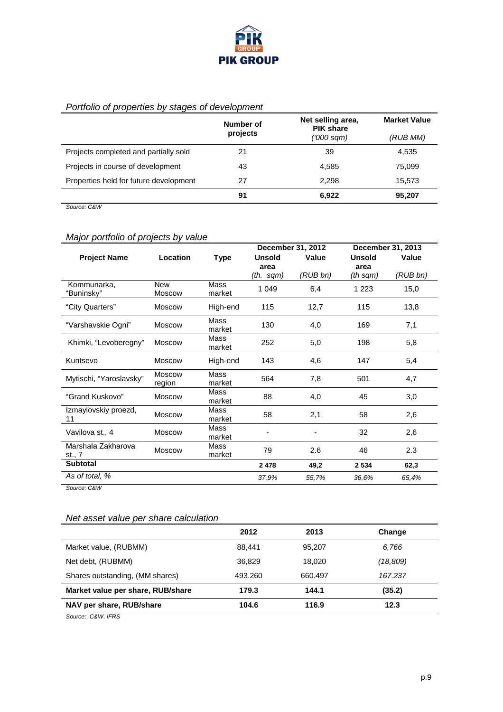

## *Portfolio of properties by stages of development*

|                                        | Number of | Net selling area,<br><b>PIK share</b> | <b>Market Value</b> |
|----------------------------------------|-----------|---------------------------------------|---------------------|
|                                        | projects  | ('000 sqm)                            | (RUB MM)            |
| Projects completed and partially sold  | 21        | 39                                    | 4,535               |
| Projects in course of development      | 43        | 4.585                                 | 75.099              |
| Properties held for future development | 27        | 2.298                                 | 15,573              |
|                                        | 91        | 6,922                                 | 95,207              |
|                                        |           |                                       |                     |

*Source: C&W*

# *Major portfolio of projects by value*

|                              |                             | December 31, 2012     |               |          | December 31, 2013 |          |
|------------------------------|-----------------------------|-----------------------|---------------|----------|-------------------|----------|
| <b>Project Name</b>          | Location                    | <b>Type</b>           | <b>Unsold</b> | Value    | <b>Unsold</b>     | Value    |
|                              |                             |                       | area          |          | area              |          |
|                              |                             |                       | (th. sqm)     | (RUB bn) | (th sqm)          | (RUB bn) |
| Kommunarka,<br>"Buninsky"    | <b>New</b><br><b>Moscow</b> | <b>Mass</b><br>market | 1 0 4 9       | 6,4      | 1 2 2 3           | 15,0     |
| "City Quarters"              | <b>Moscow</b>               | High-end              | 115           | 12,7     | 115               | 13,8     |
| "Varshavskie Ogni"           | <b>Moscow</b>               | Mass<br>market        | 130           | 4,0      | 169               | 7,1      |
| Khimki, "Levoberegny"        | <b>Moscow</b>               | Mass<br>market        | 252           | 5,0      | 198               | 5,8      |
| Kuntsevo                     | Moscow                      | High-end              | 143           | 4,6      | 147               | 5,4      |
| Mytischi, "Yaroslavsky"      | <b>Moscow</b><br>region     | Mass<br>market        | 564           | 7,8      | 501               | 4,7      |
| "Grand Kuskovo"              | <b>Moscow</b>               | Mass<br>market        | 88            | 4,0      | 45                | 3,0      |
| Izmaylovskiy proezd,<br>11   | <b>Moscow</b>               | Mass<br>market        | 58            | 2,1      | 58                | 2,6      |
| Vavilova st., 4              | Moscow                      | Mass<br>market        |               |          | 32                | 2,6      |
| Marshala Zakharova<br>st., 7 | <b>Moscow</b>               | Mass<br>market        | 79            | 2.6      | 46                | 2.3      |
| <b>Subtotal</b>              |                             |                       | 2 4 7 8       | 49,2     | 2 5 3 4           | 62,3     |
| As of total, %               |                             |                       | 37.9%         | 55,7%    | 36.6%             | 65.4%    |

*Source: C&W* 

# *Net asset value per share calculation*

|                                   | 2012    | 2013    | Change    |
|-----------------------------------|---------|---------|-----------|
| Market value, (RUBMM)             | 88.441  | 95,207  | 6,766     |
| Net debt, (RUBMM)                 | 36.829  | 18.020  | (18, 809) |
| Shares outstanding, (MM shares)   | 493.260 | 660.497 | 167.237   |
| Market value per share, RUB/share | 179.3   | 144.1   | (35.2)    |
| NAV per share, RUB/share          | 104.6   | 116.9   | 12.3      |
|                                   |         |         |           |

*Source: C&W, IFRS*